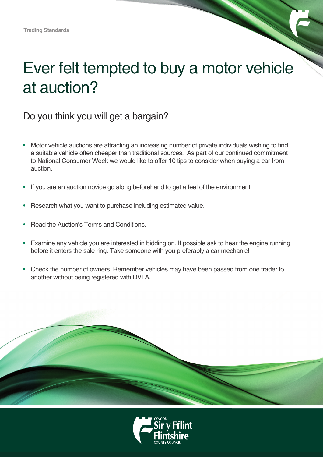## Ever felt tempted to buy a motor vehicle at auction?

## Do you think you will get a bargain?

- Motor vehicle auctions are attracting an increasing number of private individuals wishing to find a suitable vehicle often cheaper than traditional sources. As part of our continued commitment to National Consumer Week we would like to offer 10 tips to consider when buying a car from auction.
- If you are an auction novice go along beforehand to get a feel of the environment.
- Research what you want to purchase including estimated value.
- Read the Auction's Terms and Conditions.
- Examine any vehicle you are interested in bidding on. If possible ask to hear the engine running before it enters the sale ring. Take someone with you preferably a car mechanic!
- Check the number of owners. Remember vehicles may have been passed from one trader to another without being registered with DVLA.



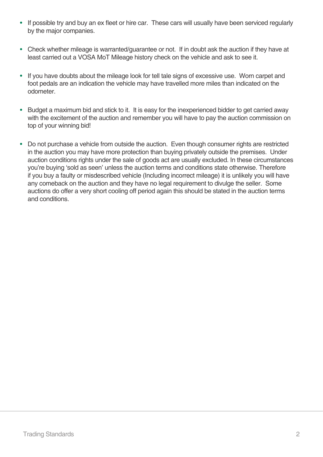- If possible try and buy an ex fleet or hire car. These cars will usually have been serviced regularly by the major companies.
- Check whether mileage is warranted/guarantee or not. If in doubt ask the auction if they have at least carried out a VOSA MoT Mileage history check on the vehicle and ask to see it.
- If you have doubts about the mileage look for tell tale signs of excessive use. Worn carpet and foot pedals are an indication the vehicle may have travelled more miles than indicated on the odometer.
- Budget a maximum bid and stick to it. It is easy for the inexperienced bidder to get carried away with the excitement of the auction and remember you will have to pay the auction commission on top of your winning bid!
- Do not purchase a vehicle from outside the auction. Even though consumer rights are restricted in the auction you may have more protection than buying privately outside the premises. Under auction conditions rights under the sale of goods act are usually excluded. In these circumstances you're buying 'sold as seen' unless the auction terms and conditions state otherwise. Therefore if you buy a faulty or misdescribed vehicle (Including incorrect mileage) it is unlikely you will have any comeback on the auction and they have no legal requirement to divulge the seller. Some auctions do offer a very short cooling off period again this should be stated in the auction terms and conditions.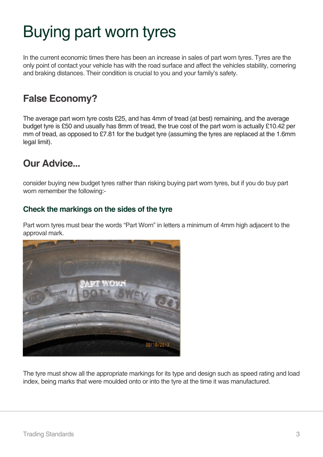# Buying part worn tyres

In the current economic times there has been an increase in sales of part worn tyres. Tyres are the only point of contact your vehicle has with the road surface and affect the vehicles stability, cornering and braking distances. Their condition is crucial to you and your family's safety.

### **False Economy?**

The average part worn tyre costs £25, and has 4mm of tread (at best) remaining, and the average budget tyre is £50 and usually has 8mm of tread, the true cost of the part worn is actually £10.42 per mm of tread, as opposed to £7.81 for the budget tyre (assuming the tyres are replaced at the 1.6mm legal limit).

### **Our Advice...**

consider buying new budget tyres rather than risking buying part worn tyres, but if you do buy part worn remember the following:-

#### **Check the markings on the sides of the tyre**

Part worn tyres must bear the words "Part Worn" in letters a minimum of 4mm high adjacent to the approval mark.



The tyre must show all the appropriate markings for its type and design such as speed rating and load index, being marks that were moulded onto or into the tyre at the time it was manufactured.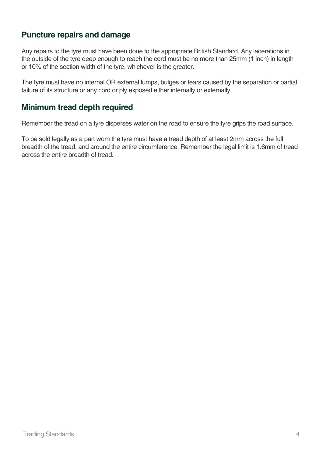#### **Puncture repairs and damage**

Any repairs to the tyre must have been done to the appropriate British Standard. Any lacerations in the outside of the tyre deep enough to reach the cord must be no more than 25mm (1 inch) in length or 10% of the section width of the tyre, whichever is the greater.

The tyre must have no internal OR external lumps, bulges or tears caused by the separation or partial failure of its structure or any cord or ply exposed either internally or externally.

#### **Minimum tread depth required**

Remember the tread on a tyre disperses water on the road to ensure the tyre grips the road surface.

To be sold legally as a part worn the tyre must have a tread depth of at least 2mm across the full breadth of the tread, and around the entire circumference. Remember the legal limit is 1.6mm of tread across the entire breadth of tread.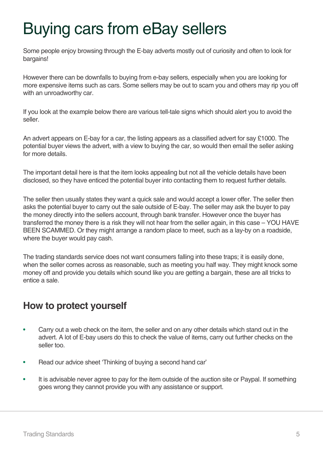## Buying cars from eBay sellers

Some people enjoy browsing through the E-bay adverts mostly out of curiosity and often to look for bargains!

However there can be downfalls to buying from e-bay sellers, especially when you are looking for more expensive items such as cars. Some sellers may be out to scam you and others may rip you off with an unroadworthy car.

If you look at the example below there are various tell-tale signs which should alert you to avoid the seller.

An advert appears on E-bay for a car, the listing appears as a classified advert for say £1000. The potential buyer views the advert, with a view to buying the car, so would then email the seller asking for more details.

The important detail here is that the item looks appealing but not all the vehicle details have been disclosed, so they have enticed the potential buyer into contacting them to request further details.

The seller then usually states they want a quick sale and would accept a lower offer. The seller then asks the potential buyer to carry out the sale outside of E-bay. The seller may ask the buyer to pay the money directly into the sellers account, through bank transfer. However once the buyer has transferred the money there is a risk they will not hear from the seller again, in this case – YOU HAVE BEEN SCAMMED. Or they might arrange a random place to meet, such as a lay-by on a roadside, where the buyer would pay cash.

The trading standards service does not want consumers falling into these traps; it is easily done, when the seller comes across as reasonable, such as meeting you half way. They might knock some money off and provide you details which sound like you are getting a bargain, these are all tricks to entice a sale.

### **How to protect yourself**

- Carry out a web check on the item, the seller and on any other details which stand out in the advert. A lot of E-bay users do this to check the value of items, carry out further checks on the seller too.
- Read our advice sheet 'Thinking of buying a second hand car'
- It is advisable never agree to pay for the item outside of the auction site or Paypal. If something goes wrong they cannot provide you with any assistance or support.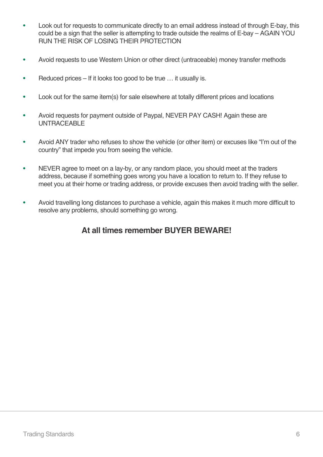- Look out for requests to communicate directly to an email address instead of through E-bay, this could be a sign that the seller is attempting to trade outside the realms of E-bay – AGAIN YOU RUN THE RISK OF LOSING THEIR PROTECTION
- Avoid requests to use Western Union or other direct (untraceable) money transfer methods
- Reduced prices If it looks too good to be true ... it usually is.
- Look out for the same item(s) for sale elsewhere at totally different prices and locations
- Avoid requests for payment outside of Paypal, NEVER PAY CASH! Again these are UNTRACEABLE
- Avoid ANY trader who refuses to show the vehicle (or other item) or excuses like "I'm out of the country" that impede you from seeing the vehicle.
- NEVER agree to meet on a lay-by, or any random place, you should meet at the traders address, because if something goes wrong you have a location to return to. If they refuse to meet you at their home or trading address, or provide excuses then avoid trading with the seller.
- Avoid travelling long distances to purchase a vehicle, again this makes it much more difficult to resolve any problems, should something go wrong.

#### **At all times remember BUYER BEWARE!**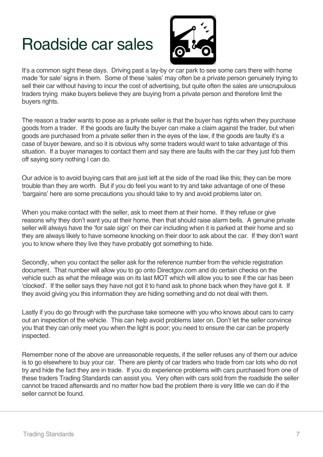## Roadside car sales



It's a common sight these days. Driving past a lay-by or car park to see some cars there with home made 'for sale' signs in them. Some of these 'sales' may often be a private person genuinely trying to sell their car without having to incur the cost of advertising, but quite often the sales are unscrupulous traders trying make buyers believe they are buying from a private person and therefore limit the buyers rights.

The reason a trader wants to pose as a private seller is that the buyer has rights when they purchase goods from a trader. If the goods are faulty the buyer can make a claim against the trader, but when goods are purchased from a private seller then in the eyes of the law, if the goods are faulty it's a case of buyer beware, and so it is obvious why some traders would want to take advantage of this situation. If a buyer manages to contact them and say there are faults with the car they just fob them off saying sorry nothing I can do.

Our advice is to avoid buying cars that are just left at the side of the road like this; they can be more trouble than they are worth. But if you do feel you want to try and take advantage of one of these 'bargains' here are some precautions you should take to try and avoid problems later on.

When you make contact with the seller, ask to meet them at their home. If they refuse or give reasons why they don't want you at their home, then that should raise alarm bells. A genuine private seller will always have the 'for sale sign' on their car including when it is parked at their home and so they are always likely to have someone knocking on their door to ask about the car. If they don't want you to know where they live they have probably got something to hide.

Secondly, when you contact the seller ask for the reference number from the vehicle registration document. That number will allow you to go onto Directgov.com and do certain checks on the vehicle such as what the mileage was on its last MOT which will allow you to see if the car has been 'clocked'. If the seller says they have not got it to hand ask to phone back when they have got it. If they avoid giving you this information they are hiding something and do not deal with them.

Lastly if you do go through with the purchase take someone with you who knows about cars to carry out an inspection of the vehicle. This can help avoid problems later on. Don't let the seller convince you that they can only meet you when the light is poor; you need to ensure the car can be properly inspected.

Remember none of the above are unreasonable requests, if the seller refuses any of them our advice is to go elsewhere to buy your car. There are plenty of car traders who trade from car lots who do not try and hide the fact they are in trade. If you do experience problems with cars purchased from one of these traders Trading Standards can assist you. Very often with cars sold from the roadside the seller cannot be traced afterwards and no matter how bad the problem there is very little we can do if the seller cannot be found.